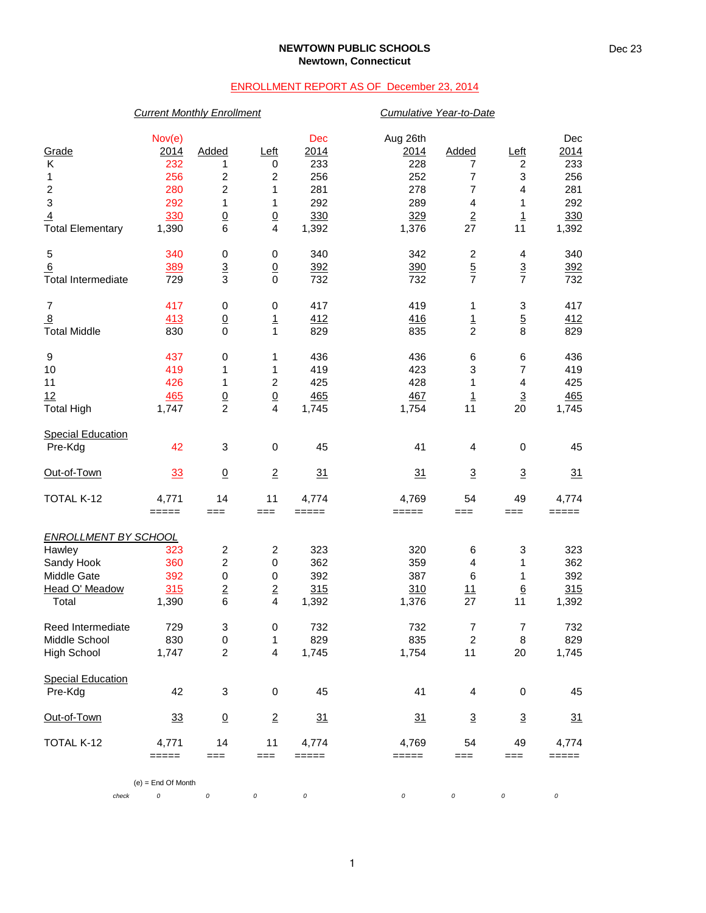### **NEWTOWN PUBLIC SCHOOLS Newtown, Connecticut**

## ENROLLMENT REPORT AS OF December 23, 2014

## *Current Monthly Enrollment Cumulative Year-to-Date*

| Grade<br>Κ                  | 2014<br>232                     | Added<br>1              | <u>Left</u><br>0 | Dec<br>2014<br>233  | Aug 26th<br>2014<br>228 | Added<br>7              | <u>Left</u><br>2        | Dec<br>2014<br>233 |
|-----------------------------|---------------------------------|-------------------------|------------------|---------------------|-------------------------|-------------------------|-------------------------|--------------------|
| 1                           | 256                             | 2                       | $\overline{c}$   | 256                 | 252                     | 7                       | 3                       | 256                |
| $\boldsymbol{2}$            | 280                             | $\boldsymbol{2}$        | 1                | 281                 | 278                     | 7                       | $\overline{\mathbf{4}}$ | 281                |
| 3                           | 292                             | 1                       | 1                | 292                 | 289                     | $\overline{\mathbf{4}}$ | 1                       | 292                |
| $\overline{4}$              | 330                             | $\underline{0}$         | $\underline{0}$  | 330                 | 329                     | $\overline{2}$          | $\overline{1}$          | 330                |
| <b>Total Elementary</b>     | 1,390                           | 6                       | 4                | 1,392               | 1,376                   | 27                      | 11                      | 1,392              |
| 5                           | 340                             | 0                       | 0                | 340                 | 342                     | $\overline{\mathbf{c}}$ | 4                       | 340                |
| 6                           | 389                             | $\overline{3}$          | $\underline{0}$  | 392                 | 390                     | $\overline{5}$          | $\frac{3}{7}$           | 392                |
| <b>Total Intermediate</b>   | 729                             | 3                       | $\mathbf 0$      | 732                 | 732                     | $\overline{7}$          |                         | 732                |
| $\boldsymbol{7}$            | 417                             | 0                       | 0                | 417                 | 419                     | 1                       | 3                       | 417                |
| 8                           | 413                             | $\overline{0}$          | $\overline{1}$   | 412                 | 416                     | $\overline{1}$          | $\overline{5}$          | <u>412</u>         |
| <b>Total Middle</b>         | 830                             | $\mathbf 0$             | $\mathbf{1}$     | 829                 | 835                     | $\overline{c}$          | 8                       | 829                |
| 9                           | 437                             | 0                       | 1                | 436                 | 436                     | 6                       | 6                       | 436                |
| 10                          | 419                             | 1                       | 1                | 419                 | 423                     | 3                       | $\overline{7}$          | 419                |
| 11                          | 426                             | 1                       | $\overline{c}$   | 425                 | 428                     | 1                       | 4                       | 425                |
| 12                          | 465                             | $\frac{0}{2}$           | $\underline{0}$  | 465                 | 467                     | $\overline{1}$          | $\underline{3}$         | 465                |
| <b>Total High</b>           | 1,747                           |                         | 4                | 1,745               | 1,754                   | 11                      | 20                      | 1,745              |
| <b>Special Education</b>    |                                 |                         |                  |                     |                         |                         |                         |                    |
| Pre-Kdg                     | 42                              | 3                       | 0                | 45                  | 41                      | 4                       | 0                       | 45                 |
| Out-of-Town                 | 33                              | $\overline{0}$          | $\overline{2}$   | 31                  | 31                      | $\overline{3}$          | $\overline{3}$          | 31                 |
| TOTAL K-12                  | 4,771                           | 14                      | 11               | 4,774               | 4,769                   | 54                      | 49                      | 4,774              |
|                             | $=====$                         | $==$                    | $==$             | $=====$             | =====                   | $==$                    | ===                     | $=====$            |
| <b>ENROLLMENT BY SCHOOL</b> |                                 |                         |                  |                     |                         |                         |                         |                    |
| Hawley                      | 323                             | $\overline{\mathbf{c}}$ | $\boldsymbol{2}$ | 323                 | 320                     | 6                       | 3                       | 323                |
| Sandy Hook                  | 360                             | $\overline{c}$          | $\,0\,$          | 362                 | 359                     | $\overline{4}$          | 1                       | 362                |
| Middle Gate                 | 392                             | 0                       | $\,0\,$          | 392                 | 387                     | 6                       | 1                       | 392                |
| Head O' Meadow<br>Total     | 315<br>1,390                    | $\mathbf 2$<br>6        | $\mathbf 2$<br>4 | 315<br>1,392        | 310<br>1,376            | 11<br>27                | $\underline{6}$<br>11   | 315<br>1,392       |
|                             |                                 |                         |                  |                     |                         |                         |                         |                    |
| Reed Intermediate           | 729                             | 3                       | 0                | 732                 | 732                     | 7                       | 7                       | 732                |
| Middle School               | 830                             | $\mathbf 0$             | 1                | 829                 | 835                     | $\overline{c}$          | 8                       | 829                |
| <b>High School</b>          | 1,747                           | $\boldsymbol{2}$        | 4                | 1,745               | 1,754                   | 11                      | 20                      | 1,745              |
| <b>Special Education</b>    |                                 |                         |                  |                     |                         |                         |                         |                    |
| Pre-Kdg                     | 42                              | 3                       | 0                | 45                  | 41                      | $\overline{4}$          | 0                       | 45                 |
| Out-of-Town                 | 33                              | $\underline{0}$         | $\overline{2}$   | 31                  | 31                      | $\overline{3}$          | $\overline{3}$          | 31                 |
| TOTAL K-12                  | 4,771                           | 14                      | 11               | 4,774               | 4,769                   | 54                      | 49                      | 4,774              |
|                             | $=====$<br>$(e)$ = End Of Month | ===                     | $==$             | $=$ $=$ $=$ $=$ $=$ | =====                   | ===                     | ===                     | $=====$            |

*check 0 0 0 0 0 0 0 0*